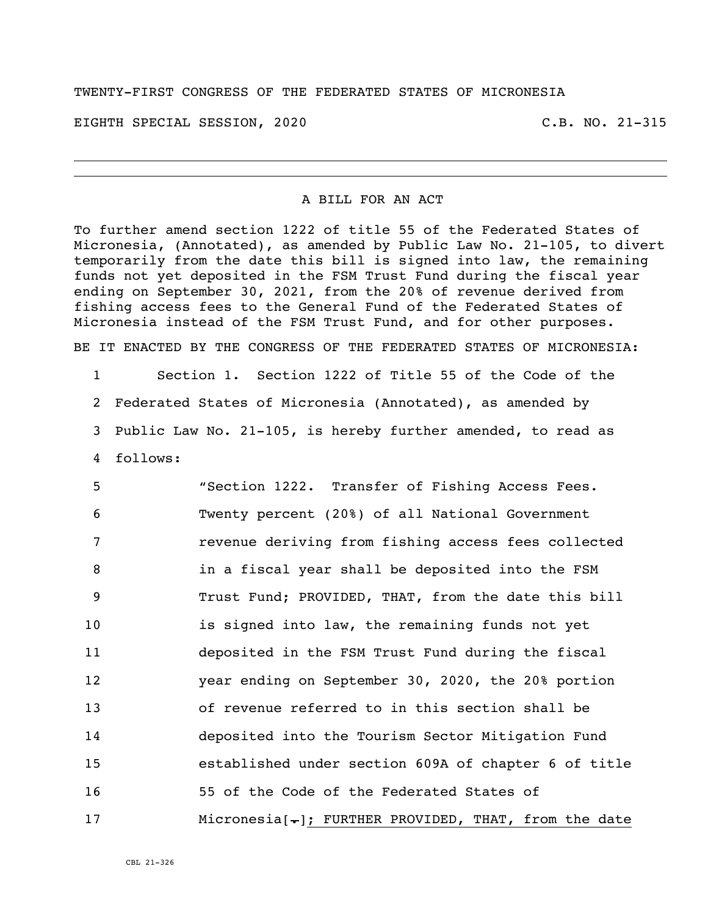TWENTY-FIRST CONGRESS OF THE FEDERATED STATES OF MICRONESIA

EIGHTH SPECIAL SESSION, 2020 C.B. NO. 21-315

## A BILL FOR AN ACT

To further amend section 1222 of title 55 of the Federated States of Micronesia, (Annotated), as amended by Public Law No. 21-105, to divert temporarily from the date this bill is signed into law, the remaining funds not yet deposited in the FSM Trust Fund during the fiscal year ending on September 30, 2021, from the 20% of revenue derived from fishing access fees to the General Fund of the Federated States of Micronesia instead of the FSM Trust Fund, and for other purposes.

BE IT ENACTED BY THE CONGRESS OF THE FEDERATED STATES OF MICRONESIA:

 Section 1. Section 1222 of Title 55 of the Code of the Federated States of Micronesia (Annotated), as amended by Public Law No. 21-105, is hereby further amended, to read as 4 follows:

 "Section 1222. Transfer of Fishing Access Fees. Twenty percent (20%) of all National Government revenue deriving from fishing access fees collected in a fiscal year shall be deposited into the FSM Trust Fund; PROVIDED, THAT, from the date this bill is signed into law, the remaining funds not yet deposited in the FSM Trust Fund during the fiscal year ending on September 30, 2020, the 20% portion of revenue referred to in this section shall be deposited into the Tourism Sector Mitigation Fund established under section 609A of chapter 6 of title 55 of the Code of the Federated States of 17 Micronesia[-]; FURTHER PROVIDED, THAT, from the date

CBL 21-326